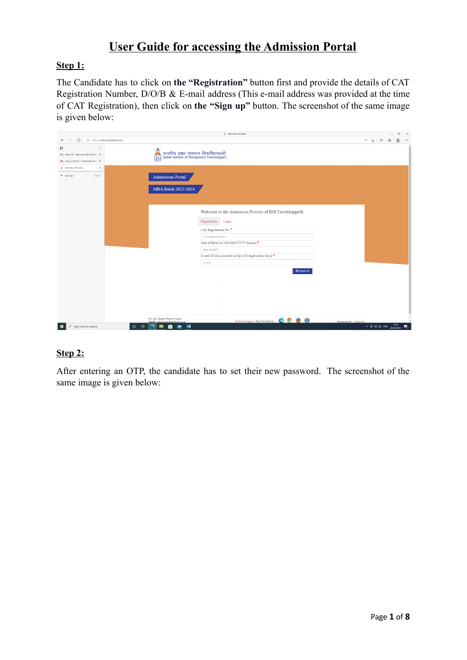## **User Guide for accessing the Admission Portal**

#### **Step 1:**

The Candidate has to click on **the "Registration"** button first and provide the details of CAT Registration Number, D/O/B & E-mail address (This e-mail address was provided at the time of CAT Registration), then click on **the "Sign up"** button. The screenshot of the same image is given below:

|                                                                                    | Admission Process                                                                                                                                                                                                                                            |                                                                                                                                                                                                                                                                                                                                                                                                 |                                                   | $\sigma$       | $\times$ |
|------------------------------------------------------------------------------------|--------------------------------------------------------------------------------------------------------------------------------------------------------------------------------------------------------------------------------------------------------------|-------------------------------------------------------------------------------------------------------------------------------------------------------------------------------------------------------------------------------------------------------------------------------------------------------------------------------------------------------------------------------------------------|---------------------------------------------------|----------------|----------|
| https://iimt.dhavalhost.com<br>C<br>$\leftarrow$                                   |                                                                                                                                                                                                                                                              | $\begin{array}{ccccccccccccc} \mathbb{A}^1 & \mathbb{A}^1 & \mathbb{A}^1 & \mathbb{A}^1 & \mathbb{A}^1 & \mathbb{A}^1 & \mathbb{A}^1 & \mathbb{A}^1 & \mathbb{A}^1 & \mathbb{A}^1 & \mathbb{A}^1 & \mathbb{A}^1 & \mathbb{A}^1 & \mathbb{A}^1 & \mathbb{A}^1 & \mathbb{A}^1 & \mathbb{A}^1 & \mathbb{A}^1 & \mathbb{A}^1 & \mathbb{A}^1 & \mathbb{A}^1 & \mathbb{A}^1 & \mathbb{A}^1 & \mathbb$ |                                                   | $\circledcirc$ | $\cdots$ |
| O<br>M Inbox (9) - admissions@iimtrichy. X<br>M Inbox (19,623) - chandru@iimtric X | )<br>सारतीय प्रबंध संस्थान तिरूचिरापल्ली<br>IIM Indian Institute of Management Tiruchirappalli<br><b>IIM</b>                                                                                                                                                 |                                                                                                                                                                                                                                                                                                                                                                                                 |                                                   |                |          |
| $\times$<br>Admission Process<br>+ New tab<br>$Ctrl+T$                             | <b>Admissions Portal</b><br><b>MBA Batch 2022-2024</b>                                                                                                                                                                                                       |                                                                                                                                                                                                                                                                                                                                                                                                 |                                                   |                |          |
|                                                                                    | Welcome to the Admission Process of IIM Tiruchirappalli<br>Registration Login<br>CAT Registration No.<br>CAT Registration No.*<br>Date of Birth (in DD-MM-YYYY format) *<br>Date of Birth*<br>E-mail ID (As provided in the CAT Application form)<br>E-mail* |                                                                                                                                                                                                                                                                                                                                                                                                 |                                                   |                |          |
| $\mathcal{P}$ Type here to search<br>$\Xi^+$<br>$\circ$<br>÷                       | $-2$ SIGN UP<br>For Any Queries Please Contact<br>Technical Support   Best Viewable In: (2000)<br>Developed By : D'arteweb<br>Email: admissions@iimtrichy.ac<br><b>CB</b><br>$W_1$<br>-6<br>G                                                                |                                                                                                                                                                                                                                                                                                                                                                                                 | $\land$ ⊕ (0) {D ENG $\frac{17:34}{28-04-2022}$ 异 |                |          |

## **Step 2:**

After entering an OTP, the candidate has to set their new password. The screenshot of the same image is given below: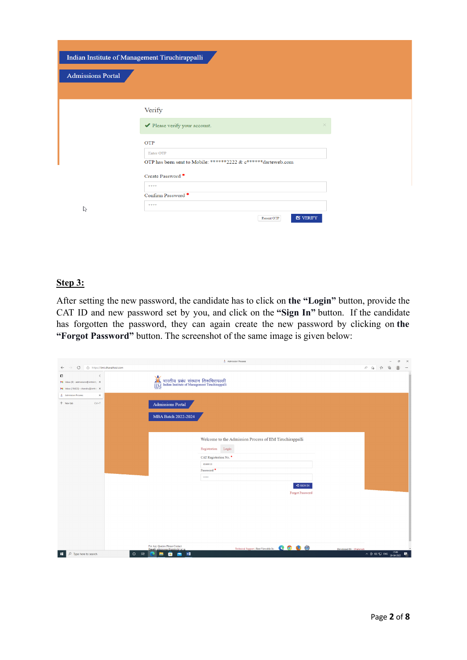|                          | Indian Institute of Management Tiruchirappalli                             |
|--------------------------|----------------------------------------------------------------------------|
| <b>Admissions Portal</b> |                                                                            |
|                          |                                                                            |
|                          | Verify                                                                     |
|                          | Please verify your account.<br>$\times$                                    |
|                          | OTP                                                                        |
|                          | Enter OTP<br>OTP has been sent to Mobile: ******2222 & c******darteweb.com |
|                          | Create Password *                                                          |
|                          | 東東東東                                                                       |
| $\mathbb{Z}$             | Confirm Password *<br>****                                                 |
|                          | $\mathbf G$ VERIFY<br>Resent OTP                                           |

## **Step 3:**

After setting the new password, the candidate has to click on **the "Login"** button, provide the CAT ID and new password set by you, and click on the **"Sign In"** button. If the candidate has forgotten the password, they can again create the new password by clicking on **the "Forgot Password"** button. The screenshot of the same image is given below:

|                                                                                                 | Admission Process                                                                                               |                                                                                                                                                                                       |  | $\boldsymbol{\times}$<br>$\sigma$                                 |
|-------------------------------------------------------------------------------------------------|-----------------------------------------------------------------------------------------------------------------|---------------------------------------------------------------------------------------------------------------------------------------------------------------------------------------|--|-------------------------------------------------------------------|
| https://iimt.dhavalhost.com<br>C<br>$\leftarrow$                                                |                                                                                                                 | $A^h \quad \, \stackrel{\circ}{\sim} \quad \, \, \stackrel{\circ}{\sim} \quad \, \, \stackrel{\circ}{\sim} \quad \  \, \stackrel{\circ}{\times} \quad \  \, \stackrel{\circ}{\times}$ |  | $^{\circ}$<br>$\cdots$                                            |
| 0<br>$\langle$<br>M Inbox (9) - admissions@iimtrichy. X<br>M Inbox (19,623) - chandru@iimtric X | $\frac{1}{\text{min}}$<br>भारतीय प्रबंध संस्थान तिरूचिरापल्ली<br>Indian Institute of Management Tiruchirappalli |                                                                                                                                                                                       |  |                                                                   |
| $\times$<br>Admission Process                                                                   |                                                                                                                 |                                                                                                                                                                                       |  |                                                                   |
| + New tab<br>$Ctrl+T$                                                                           | <b>Admissions Portal</b>                                                                                        |                                                                                                                                                                                       |  |                                                                   |
|                                                                                                 | MBA Batch 2022-2024                                                                                             |                                                                                                                                                                                       |  |                                                                   |
|                                                                                                 |                                                                                                                 |                                                                                                                                                                                       |  |                                                                   |
|                                                                                                 | Welcome to the Admission Process of IIM Tiruchirappalli                                                         |                                                                                                                                                                                       |  |                                                                   |
|                                                                                                 | Registration Login                                                                                              |                                                                                                                                                                                       |  |                                                                   |
|                                                                                                 | CAT Registration No.                                                                                            |                                                                                                                                                                                       |  |                                                                   |
|                                                                                                 | 9049910                                                                                                         |                                                                                                                                                                                       |  |                                                                   |
|                                                                                                 | Password <sup>*</sup>                                                                                           |                                                                                                                                                                                       |  |                                                                   |
|                                                                                                 |                                                                                                                 |                                                                                                                                                                                       |  |                                                                   |
|                                                                                                 | $\bigcirc$ SIGN IN                                                                                              |                                                                                                                                                                                       |  |                                                                   |
|                                                                                                 | Forgot Password                                                                                                 |                                                                                                                                                                                       |  |                                                                   |
|                                                                                                 |                                                                                                                 |                                                                                                                                                                                       |  |                                                                   |
|                                                                                                 |                                                                                                                 |                                                                                                                                                                                       |  |                                                                   |
|                                                                                                 |                                                                                                                 |                                                                                                                                                                                       |  |                                                                   |
|                                                                                                 |                                                                                                                 |                                                                                                                                                                                       |  |                                                                   |
|                                                                                                 |                                                                                                                 |                                                                                                                                                                                       |  |                                                                   |
|                                                                                                 | For Any Queries Please Contact<br>Technical Support   Best Viewable In: 0 0 0 0                                 |                                                                                                                                                                                       |  |                                                                   |
| $\mathcal{P}$ Type here to search<br><b>Ei</b><br>$\circ$<br>÷                                  | Developed By : D'arteweb<br>Email: admissions@iimtrichy.ac.i<br><b>PER</b><br>۰<br>W<br>G                       |                                                                                                                                                                                       |  | $\land$ $\oplus$ $\otimes$ $\oplus$ ENG $\frac{1749}{28-04-2022}$ |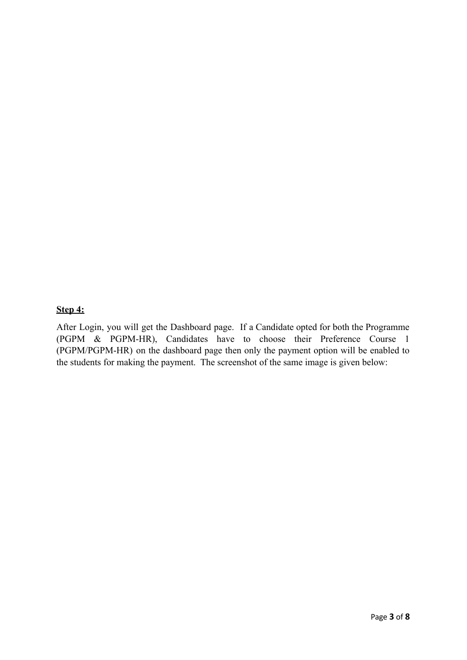### **Step 4:**

After Login, you will get the Dashboard page. If a Candidate opted for both the Programme (PGPM & PGPM-HR), Candidates have to choose their Preference Course 1 (PGPM/PGPM-HR) on the dashboard page then only the payment option will be enabled to the students for making the payment. The screenshot of the same image is given below: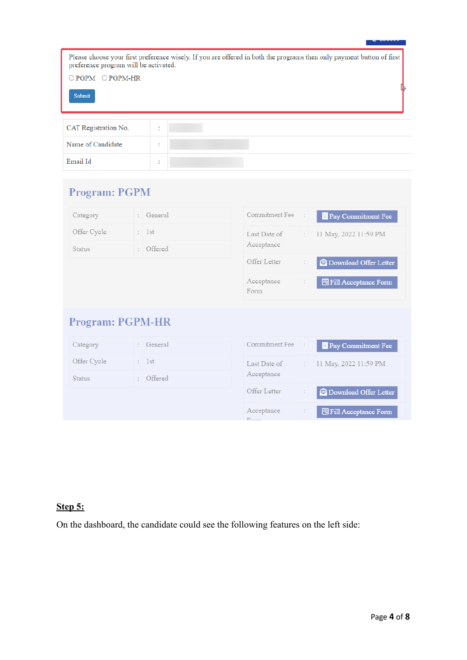| Please choose your first preference wisely. If you are offered in both the programs then only payment button of first<br>preference program will be activated. |                              |  |  |  |  |  |  |
|----------------------------------------------------------------------------------------------------------------------------------------------------------------|------------------------------|--|--|--|--|--|--|
| $\bigcirc$ PGPM $\bigcirc$ PGPM-HR                                                                                                                             |                              |  |  |  |  |  |  |
| Submit                                                                                                                                                         |                              |  |  |  |  |  |  |
| CAT Registration No.                                                                                                                                           | $\mathbf{r}$                 |  |  |  |  |  |  |
| Name of Candidate                                                                                                                                              | $\mathbf{r}$<br>$\mathbf{r}$ |  |  |  |  |  |  |

# **Program: PGPM**

ł,

 $\operatorname{Email}$  <br> Id

| Category                | $\overline{\phantom{a}}$ | General   | Commitment Fee     |                      | Pay Commitment Fee             |
|-------------------------|--------------------------|-----------|--------------------|----------------------|--------------------------------|
| Offer Cycle             |                          | : 1st     | Last Date of       | $\ddot{\phantom{a}}$ | 11 May, 2022 11:59 PM          |
| <b>Status</b>           | $\mathcal{L}$            | Offered   | Acceptance         |                      |                                |
|                         |                          |           | Offer Letter       |                      | <b>E</b> Download Offer Letter |
|                         |                          |           | Acceptance<br>Form | ÷                    | <b>图 Fill Acceptance Form</b>  |
| <b>Program: PGPM-HR</b> |                          |           |                    |                      |                                |
| Category                |                          | : General | Commitment Fee     | ÷                    | Pay Commitment Fee             |
| Offer Cycle             |                          | : 1st     | Last Date of       | $\mathbb{R}^n$       | 11 May, 2022 11:59 PM          |
| Status                  |                          | : Offered | Acceptance         |                      |                                |
|                         |                          |           | Offer Letter       | ÷                    | <b>E</b> Download Offer Letter |
|                         |                          |           | Acceptance         | $\ddot{\phantom{a}}$ | <b>图 Fill Acceptance Form</b>  |

## **Step 5:**

On the dashboard, the candidate could see the following features on the left side: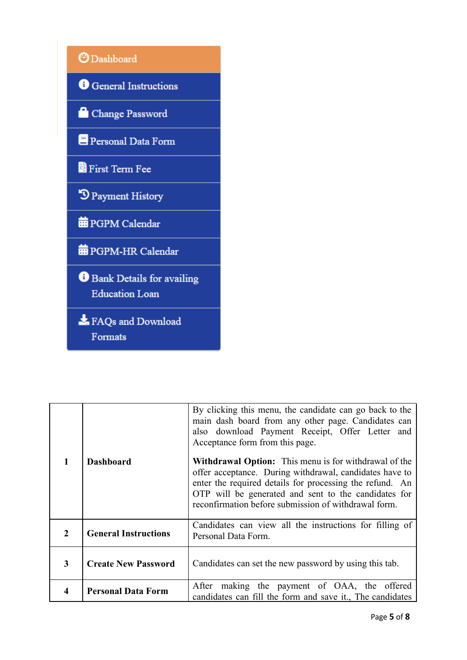

|                | <b>Dashboard</b>            | By clicking this menu, the candidate can go back to the<br>main dash board from any other page. Candidates can<br>also download Payment Receipt, Offer Letter and<br>Acceptance form from this page.<br><b>Withdrawal Option:</b> This menu is for withdrawal of the<br>offer acceptance. During withdrawal, candidates have to<br>enter the required details for processing the refund. An<br>OTP will be generated and sent to the candidates for<br>reconfirmation before submission of withdrawal form. |
|----------------|-----------------------------|-------------------------------------------------------------------------------------------------------------------------------------------------------------------------------------------------------------------------------------------------------------------------------------------------------------------------------------------------------------------------------------------------------------------------------------------------------------------------------------------------------------|
| $\overline{2}$ | <b>General Instructions</b> | Candidates can view all the instructions for filling of<br>Personal Data Form.                                                                                                                                                                                                                                                                                                                                                                                                                              |
| 3              | <b>Create New Password</b>  | Candidates can set the new password by using this tab.                                                                                                                                                                                                                                                                                                                                                                                                                                                      |
| 4              | <b>Personal Data Form</b>   | After making the payment of OAA, the offered<br>candidates can fill the form and save it., The candidates                                                                                                                                                                                                                                                                                                                                                                                                   |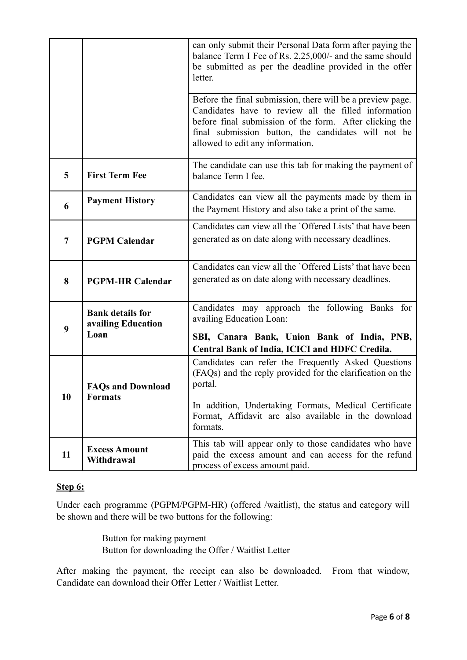|                |                                                       | can only submit their Personal Data form after paying the<br>balance Term I Fee of Rs. 2,25,000/- and the same should<br>be submitted as per the deadline provided in the offer<br>letter.                                                                               |
|----------------|-------------------------------------------------------|--------------------------------------------------------------------------------------------------------------------------------------------------------------------------------------------------------------------------------------------------------------------------|
|                |                                                       | Before the final submission, there will be a preview page.<br>Candidates have to review all the filled information<br>before final submission of the form. After clicking the<br>final submission button, the candidates will not be<br>allowed to edit any information. |
| 5              | <b>First Term Fee</b>                                 | The candidate can use this tab for making the payment of<br>balance Term I fee.                                                                                                                                                                                          |
| 6              | <b>Payment History</b>                                | Candidates can view all the payments made by them in<br>the Payment History and also take a print of the same.                                                                                                                                                           |
| $\overline{7}$ | <b>PGPM Calendar</b>                                  | Candidates can view all the 'Offered Lists' that have been<br>generated as on date along with necessary deadlines.                                                                                                                                                       |
| 8              | <b>PGPM-HR Calendar</b>                               | Candidates can view all the 'Offered Lists' that have been<br>generated as on date along with necessary deadlines.                                                                                                                                                       |
| 9              | <b>Bank details for</b><br>availing Education<br>Loan | Candidates may approach the following Banks for<br>availing Education Loan:<br>SBI, Canara Bank, Union Bank of India, PNB,<br>Central Bank of India, ICICI and HDFC Credila.                                                                                             |
| 10             | <b>FAQs and Download</b><br><b>Formats</b>            | Candidates can refer the Frequently Asked Questions<br>(FAQs) and the reply provided for the clarification on the<br>portal.<br>In addition, Undertaking Formats, Medical Certificate<br>Format, Affidavit are also available in the download<br>formats.                |
| 11             | <b>Excess Amount</b><br>Withdrawal                    | This tab will appear only to those candidates who have<br>paid the excess amount and can access for the refund<br>process of excess amount paid.                                                                                                                         |

## **Step 6:**

Under each programme (PGPM/PGPM-HR) (offered /waitlist), the status and category will be shown and there will be two buttons for the following:

> Button for making payment Button for downloading the Offer / Waitlist Letter

After making the payment, the receipt can also be downloaded. From that window, Candidate can download their Offer Letter / Waitlist Letter.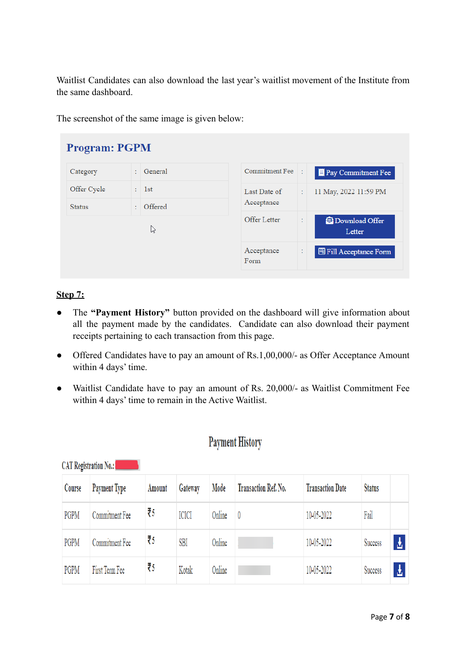Waitlist Candidates can also download the last year's waitlist movement of the Institute from the same dashboard.

The screenshot of the same image is given below:

| <b>Program: PGPM</b>         |    |                  |                            |   |                               |  |  |  |  |
|------------------------------|----|------------------|----------------------------|---|-------------------------------|--|--|--|--|
| Category                     | t. | General          | Commitment Fee             |   | <b>Pay Commitment Fee</b>     |  |  |  |  |
| Offer Cycle<br><b>Status</b> | ÷. | : 1st<br>Offered | Last Date of<br>Acceptance | ÷ | 11 May, 2022 11:59 PM         |  |  |  |  |
|                              |    | な                | Offer Letter               |   | Download Offer<br>Letter      |  |  |  |  |
|                              |    |                  | Acceptance<br>Form         | ÷ | <b>图 Fill Acceptance Form</b> |  |  |  |  |

## **Step 7:**

- The **"Payment History"** button provided on the dashboard will give information about all the payment made by the candidates. Candidate can also download their payment receipts pertaining to each transaction from this page.
- Offered Candidates have to pay an amount of Rs.1,00,000/- as Offer Acceptance Amount within 4 days' time.
- Waitlist Candidate have to pay an amount of Rs. 20,000/- as Waitlist Commitment Fee within 4 days' time to remain in the Active Waitlist.

## **Payment History**

| Course | <b>Payment Type</b> | Amount | Gateway      | Mode   | <b>Transaction Ref. No.</b> | <b>Transaction Date</b> | <b>Status</b> |   |
|--------|---------------------|--------|--------------|--------|-----------------------------|-------------------------|---------------|---|
| PGPM   | Commitment Fee      | ₹5     | <b>ICICI</b> | Online | 0                           | 10-05-2022              | Fail          |   |
| PGPM   | Commitment Fee      | ₹5     | SBI          | Online |                             | 10-05-2022              | Success       | 齿 |
| PGPM   | First Term Fee      | ₹5     | Kotak        | Online |                             | 10-05-2022              | Success       | 소 |

**CAT Registration No.:**